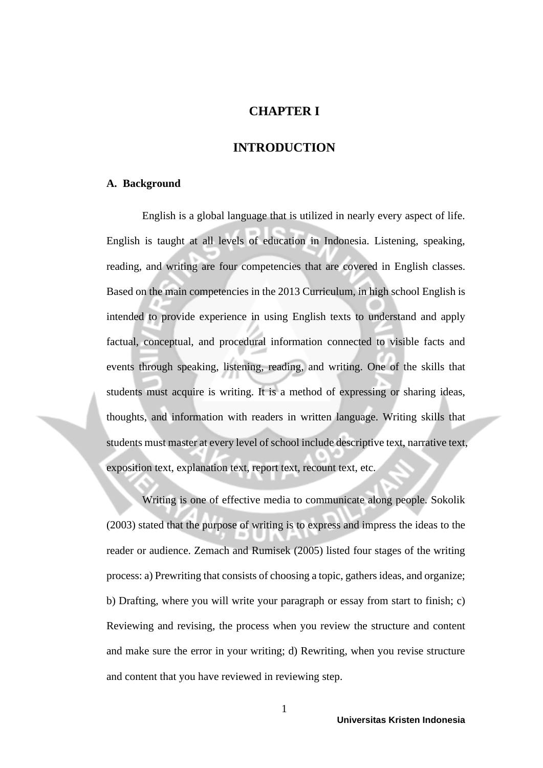# **CHAPTER I**

## **INTRODUCTION**

#### **A. Background**

English is a global language that is utilized in nearly every aspect of life. English is taught at all levels of education in Indonesia. Listening, speaking, reading, and writing are four competencies that are covered in English classes. Based on the main competencies in the 2013 Curriculum, in high school English is intended to provide experience in using English texts to understand and apply factual, conceptual, and procedural information connected to visible facts and events through speaking, listening, reading, and writing. One of the skills that students must acquire is writing. It is a method of expressing or sharing ideas, thoughts, and information with readers in written language. Writing skills that students must master at every level of school include descriptive text, narrative text, exposition text, explanation text, report text, recount text, etc.

Writing is one of effective media to communicate along people. Sokolik (2003) stated that the purpose of writing is to express and impress the ideas to the reader or audience. Zemach and Rumisek (2005) listed four stages of the writing process: a) Prewriting that consists of choosing a topic, gathers ideas, and organize; b) Drafting, where you will write your paragraph or essay from start to finish; c) Reviewing and revising, the process when you review the structure and content and make sure the error in your writing; d) Rewriting, when you revise structure and content that you have reviewed in reviewing step.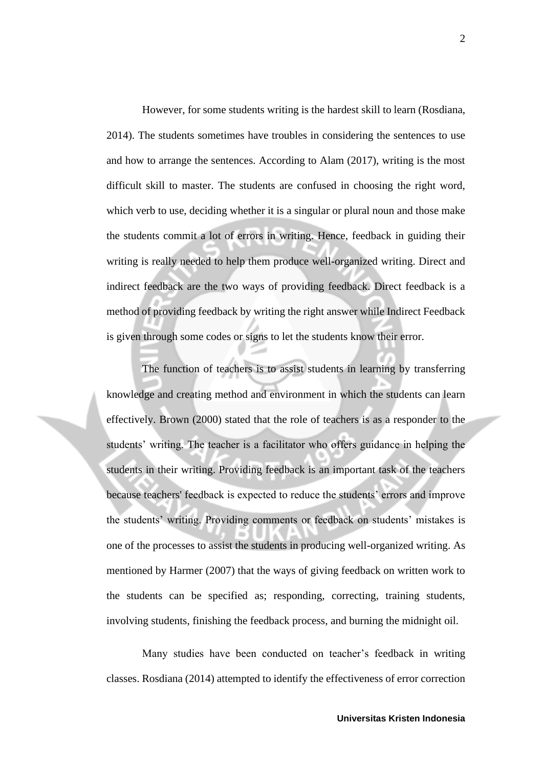However, for some students writing is the hardest skill to learn (Rosdiana, 2014). The students sometimes have troubles in considering the sentences to use and how to arrange the sentences. According to Alam (2017), writing is the most difficult skill to master. The students are confused in choosing the right word, which verb to use, deciding whether it is a singular or plural noun and those make the students commit a lot of errors in writing. Hence, feedback in guiding their writing is really needed to help them produce well-organized writing. Direct and indirect feedback are the two ways of providing feedback. Direct feedback is a method of providing feedback by writing the right answer while Indirect Feedback is given through some codes or signs to let the students know their error.

The function of teachers is to assist students in learning by transferring knowledge and creating method and environment in which the students can learn effectively. Brown (2000) stated that the role of teachers is as a responder to the students' writing. The teacher is a facilitator who offers guidance in helping the students in their writing. Providing feedback is an important task of the teachers because teachers' feedback is expected to reduce the students' errors and improve the students' writing. Providing comments or feedback on students' mistakes is one of the processes to assist the students in producing well-organized writing. As mentioned by Harmer (2007) that the ways of giving feedback on written work to the students can be specified as; responding, correcting, training students, involving students, finishing the feedback process, and burning the midnight oil.

Many studies have been conducted on teacher's feedback in writing classes. Rosdiana (2014) attempted to identify the effectiveness of error correction

2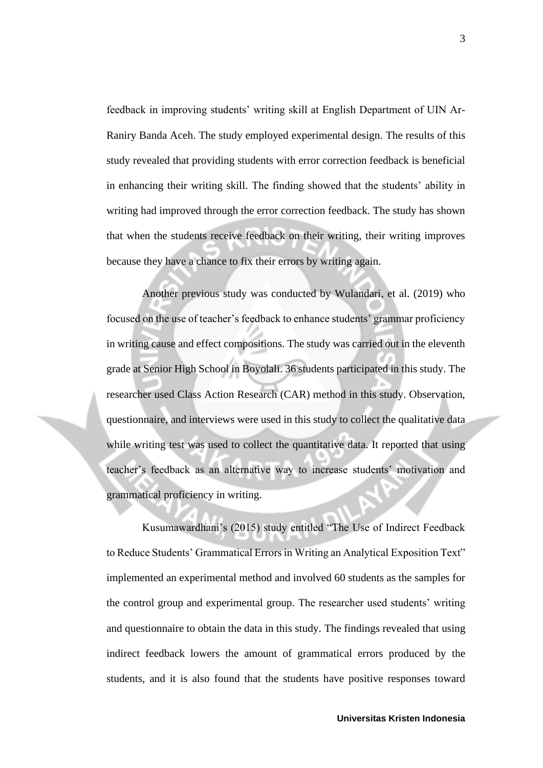feedback in improving students' writing skill at English Department of UIN Ar-Raniry Banda Aceh. The study employed experimental design. The results of this study revealed that providing students with error correction feedback is beneficial in enhancing their writing skill. The finding showed that the students' ability in writing had improved through the error correction feedback. The study has shown that when the students receive feedback on their writing, their writing improves because they have a chance to fix their errors by writing again.

Another previous study was conducted by Wulandari, et al. (2019) who focused on the use of teacher's feedback to enhance students' grammar proficiency in writing cause and effect compositions. The study was carried out in the eleventh grade at Senior High School in Boyolali. 36 students participated in this study. The researcher used Class Action Research (CAR) method in this study. Observation, questionnaire, and interviews were used in this study to collect the qualitative data while writing test was used to collect the quantitative data. It reported that using teacher's feedback as an alternative way to increase students' motivation and grammatical proficiency in writing.

Kusumawardhani's (2015) study entitled "The Use of Indirect Feedback to Reduce Students' Grammatical Errors in Writing an Analytical Exposition Text" implemented an experimental method and involved 60 students as the samples for the control group and experimental group. The researcher used students' writing and questionnaire to obtain the data in this study. The findings revealed that using indirect feedback lowers the amount of grammatical errors produced by the students, and it is also found that the students have positive responses toward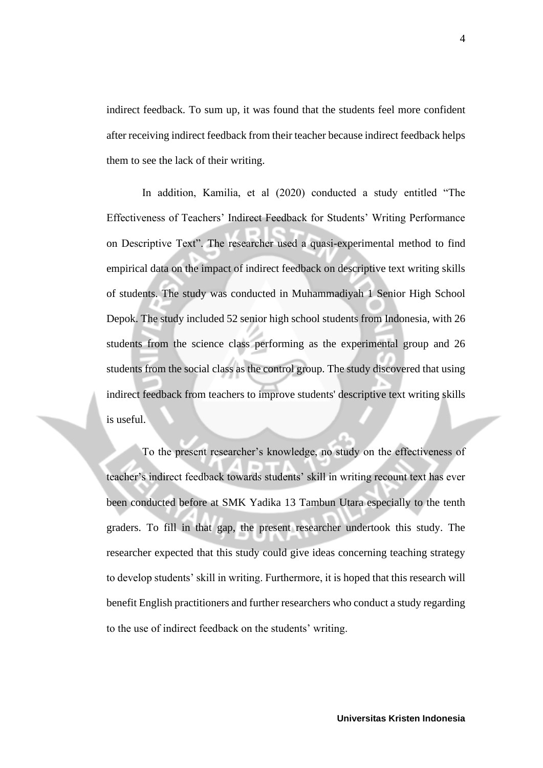indirect feedback. To sum up, it was found that the students feel more confident after receiving indirect feedback from their teacher because indirect feedback helps them to see the lack of their writing.

In addition, Kamilia, et al (2020) conducted a study entitled "The Effectiveness of Teachers' Indirect Feedback for Students' Writing Performance on Descriptive Text". The researcher used a quasi-experimental method to find empirical data on the impact of indirect feedback on descriptive text writing skills of students. The study was conducted in Muhammadiyah 1 Senior High School Depok. The study included 52 senior high school students from Indonesia, with 26 students from the science class performing as the experimental group and 26 students from the social class as the control group. The study discovered that using indirect feedback from teachers to improve students' descriptive text writing skills is useful.

To the present researcher's knowledge, no study on the effectiveness of teacher's indirect feedback towards students' skill in writing recount text has ever been conducted before at SMK Yadika 13 Tambun Utara especially to the tenth graders. To fill in that gap, the present researcher undertook this study. The researcher expected that this study could give ideas concerning teaching strategy to develop students' skill in writing. Furthermore, it is hoped that this research will benefit English practitioners and further researchers who conduct a study regarding to the use of indirect feedback on the students' writing.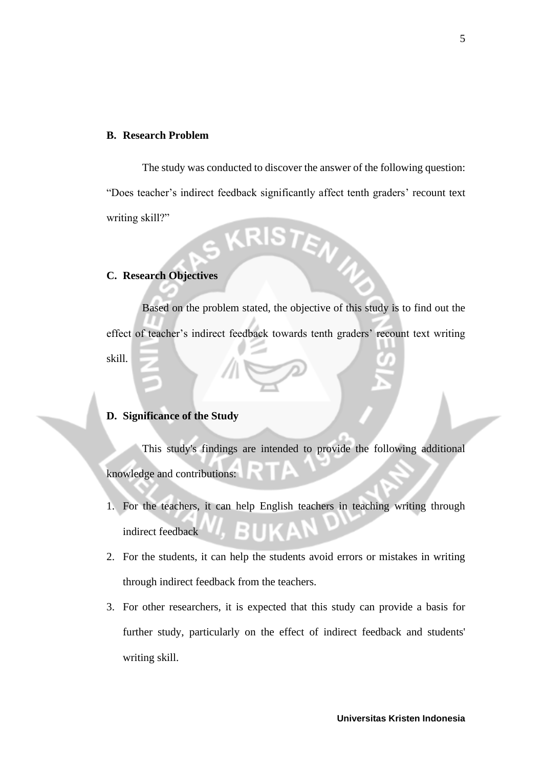### **B. Research Problem**

The study was conducted to discover the answer of the following question: "Does teacher's indirect feedback significantly affect tenth graders' recount text writing skill?" ISTEN<sub>4</sub>

## **C. Research Objectives**

Based on the problem stated, the objective of this study is to find out the effect of teacher's indirect feedback towards tenth graders' recount text writing skill.

## **D. Significance of the Study**

This study's findings are intended to provide the following additional knowledge and contributions:

- 1. For the teachers, it can help English teachers in teaching writing through indirect feedback
- 2. For the students, it can help the students avoid errors or mistakes in writing through indirect feedback from the teachers.
- 3. For other researchers, it is expected that this study can provide a basis for further study, particularly on the effect of indirect feedback and students' writing skill.